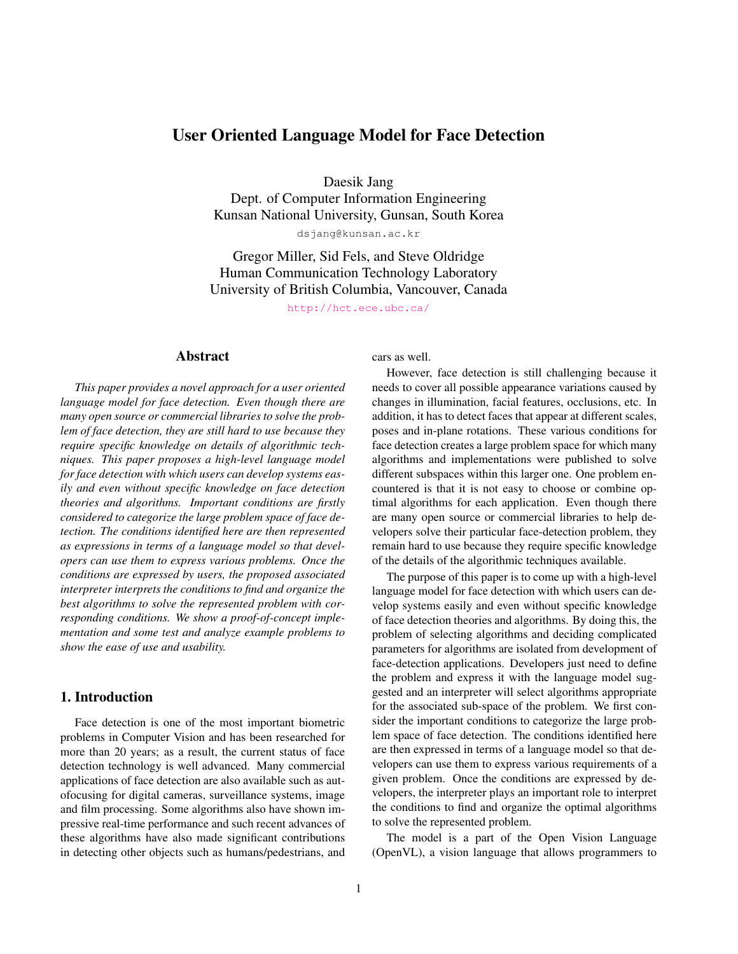# User Oriented Language Model for Face Detection

Daesik Jang

Dept. of Computer Information Engineering Kunsan National University, Gunsan, South Korea

dsjang@kunsan.ac.kr

Gregor Miller, Sid Fels, and Steve Oldridge Human Communication Technology Laboratory University of British Columbia, Vancouver, Canada

<http://hct.ece.ubc.ca/>

## Abstract

*This paper provides a novel approach for a user oriented language model for face detection. Even though there are many open source or commercial libraries to solve the problem of face detection, they are still hard to use because they require specific knowledge on details of algorithmic techniques. This paper proposes a high-level language model for face detection with which users can develop systems easily and even without specific knowledge on face detection theories and algorithms. Important conditions are firstly considered to categorize the large problem space of face detection. The conditions identified here are then represented as expressions in terms of a language model so that developers can use them to express various problems. Once the conditions are expressed by users, the proposed associated interpreter interprets the conditions to find and organize the best algorithms to solve the represented problem with corresponding conditions. We show a proof-of-concept implementation and some test and analyze example problems to show the ease of use and usability.*

# <span id="page-0-0"></span>1. Introduction

Face detection is one of the most important biometric problems in Computer Vision and has been researched for more than 20 years; as a result, the current status of face detection technology is well advanced. Many commercial applications of face detection are also available such as autofocusing for digital cameras, surveillance systems, image and film processing. Some algorithms also have shown impressive real-time performance and such recent advances of these algorithms have also made significant contributions in detecting other objects such as humans/pedestrians, and

cars as well.

However, face detection is still challenging because it needs to cover all possible appearance variations caused by changes in illumination, facial features, occlusions, etc. In addition, it has to detect faces that appear at different scales, poses and in-plane rotations. These various conditions for face detection creates a large problem space for which many algorithms and implementations were published to solve different subspaces within this larger one. One problem encountered is that it is not easy to choose or combine optimal algorithms for each application. Even though there are many open source or commercial libraries to help developers solve their particular face-detection problem, they remain hard to use because they require specific knowledge of the details of the algorithmic techniques available.

The purpose of this paper is to come up with a high-level language model for face detection with which users can develop systems easily and even without specific knowledge of face detection theories and algorithms. By doing this, the problem of selecting algorithms and deciding complicated parameters for algorithms are isolated from development of face-detection applications. Developers just need to define the problem and express it with the language model suggested and an interpreter will select algorithms appropriate for the associated sub-space of the problem. We first consider the important conditions to categorize the large problem space of face detection. The conditions identified here are then expressed in terms of a language model so that developers can use them to express various requirements of a given problem. Once the conditions are expressed by developers, the interpreter plays an important role to interpret the conditions to find and organize the optimal algorithms to solve the represented problem.

The model is a part of the Open Vision Language (OpenVL), a vision language that allows programmers to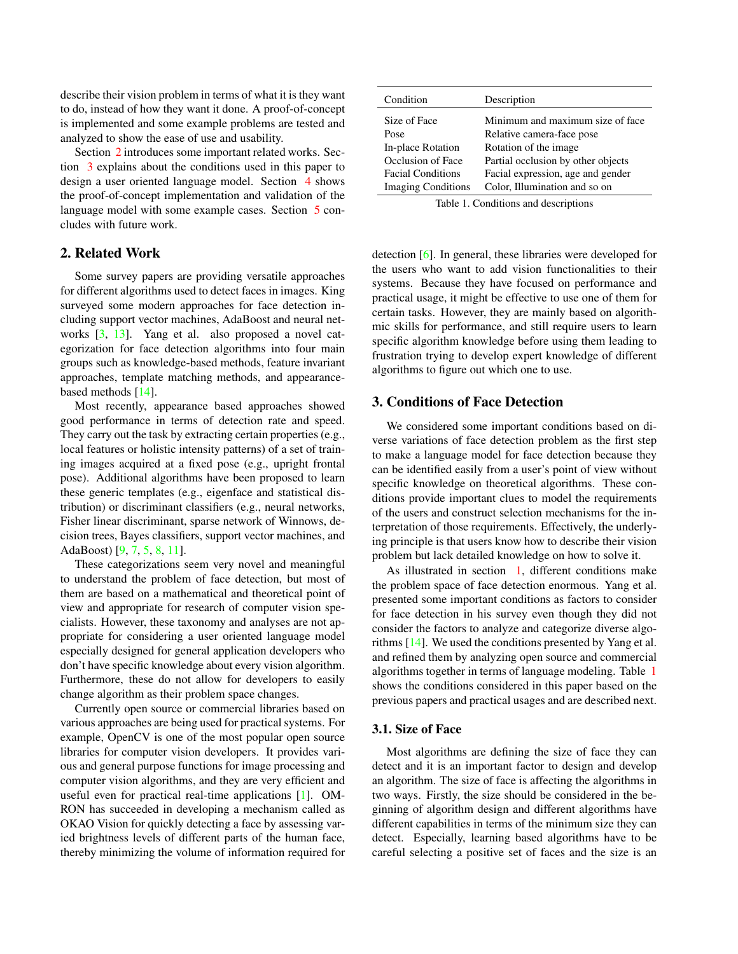<span id="page-1-3"></span>describe their vision problem in terms of what it is they want to do, instead of how they want it done. A proof-of-concept is implemented and some example problems are tested and analyzed to show the ease of use and usability.

Section [2](#page-1-0) introduces some important related works. Section [3](#page-1-1) explains about the conditions used in this paper to design a user oriented language model. Section [4](#page-2-0) shows the proof-of-concept implementation and validation of the language model with some example cases. Section [5](#page-4-0) concludes with future work.

# <span id="page-1-0"></span>2. Related Work

Some survey papers are providing versatile approaches for different algorithms used to detect faces in images. King surveyed some modern approaches for face detection including support vector machines, AdaBoost and neural networks [\[3,](#page-5-0) [13\]](#page-5-1). Yang et al. also proposed a novel categorization for face detection algorithms into four main groups such as knowledge-based methods, feature invariant approaches, template matching methods, and appearancebased methods [\[14\]](#page-5-2).

Most recently, appearance based approaches showed good performance in terms of detection rate and speed. They carry out the task by extracting certain properties (e.g., local features or holistic intensity patterns) of a set of training images acquired at a fixed pose (e.g., upright frontal pose). Additional algorithms have been proposed to learn these generic templates (e.g., eigenface and statistical distribution) or discriminant classifiers (e.g., neural networks, Fisher linear discriminant, sparse network of Winnows, decision trees, Bayes classifiers, support vector machines, and AdaBoost) [\[9,](#page-5-3) [7,](#page-5-4) [5,](#page-5-5) [8,](#page-5-6) [11\]](#page-5-7).

These categorizations seem very novel and meaningful to understand the problem of face detection, but most of them are based on a mathematical and theoretical point of view and appropriate for research of computer vision specialists. However, these taxonomy and analyses are not appropriate for considering a user oriented language model especially designed for general application developers who don't have specific knowledge about every vision algorithm. Furthermore, these do not allow for developers to easily change algorithm as their problem space changes.

Currently open source or commercial libraries based on various approaches are being used for practical systems. For example, OpenCV is one of the most popular open source libraries for computer vision developers. It provides various and general purpose functions for image processing and computer vision algorithms, and they are very efficient and useful even for practical real-time applications [\[1\]](#page-5-8). OM-RON has succeeded in developing a mechanism called as OKAO Vision for quickly detecting a face by assessing varied brightness levels of different parts of the human face, thereby minimizing the volume of information required for

| Condition                 | Description                                                   |
|---------------------------|---------------------------------------------------------------|
| Size of Face<br>Pose      | Minimum and maximum size of face<br>Relative camera-face pose |
| In-place Rotation         | Rotation of the image.                                        |
| Occlusion of Face         | Partial occlusion by other objects                            |
| <b>Facial Conditions</b>  | Facial expression, age and gender                             |
| <b>Imaging Conditions</b> | Color, Illumination and so on                                 |
|                           |                                                               |

<span id="page-1-2"></span>Table 1. Conditions and descriptions

detection [\[6\]](#page-5-9). In general, these libraries were developed for the users who want to add vision functionalities to their systems. Because they have focused on performance and practical usage, it might be effective to use one of them for certain tasks. However, they are mainly based on algorithmic skills for performance, and still require users to learn specific algorithm knowledge before using them leading to frustration trying to develop expert knowledge of different algorithms to figure out which one to use.

## <span id="page-1-1"></span>3. Conditions of Face Detection

We considered some important conditions based on diverse variations of face detection problem as the first step to make a language model for face detection because they can be identified easily from a user's point of view without specific knowledge on theoretical algorithms. These conditions provide important clues to model the requirements of the users and construct selection mechanisms for the interpretation of those requirements. Effectively, the underlying principle is that users know how to describe their vision problem but lack detailed knowledge on how to solve it.

As illustrated in section  $1$ , different conditions make the problem space of face detection enormous. Yang et al. presented some important conditions as factors to consider for face detection in his survey even though they did not consider the factors to analyze and categorize diverse algorithms [\[14\]](#page-5-2). We used the conditions presented by Yang et al. and refined them by analyzing open source and commercial algorithms together in terms of language modeling. Table [1](#page-1-2) shows the conditions considered in this paper based on the previous papers and practical usages and are described next.

#### 3.1. Size of Face

Most algorithms are defining the size of face they can detect and it is an important factor to design and develop an algorithm. The size of face is affecting the algorithms in two ways. Firstly, the size should be considered in the beginning of algorithm design and different algorithms have different capabilities in terms of the minimum size they can detect. Especially, learning based algorithms have to be careful selecting a positive set of faces and the size is an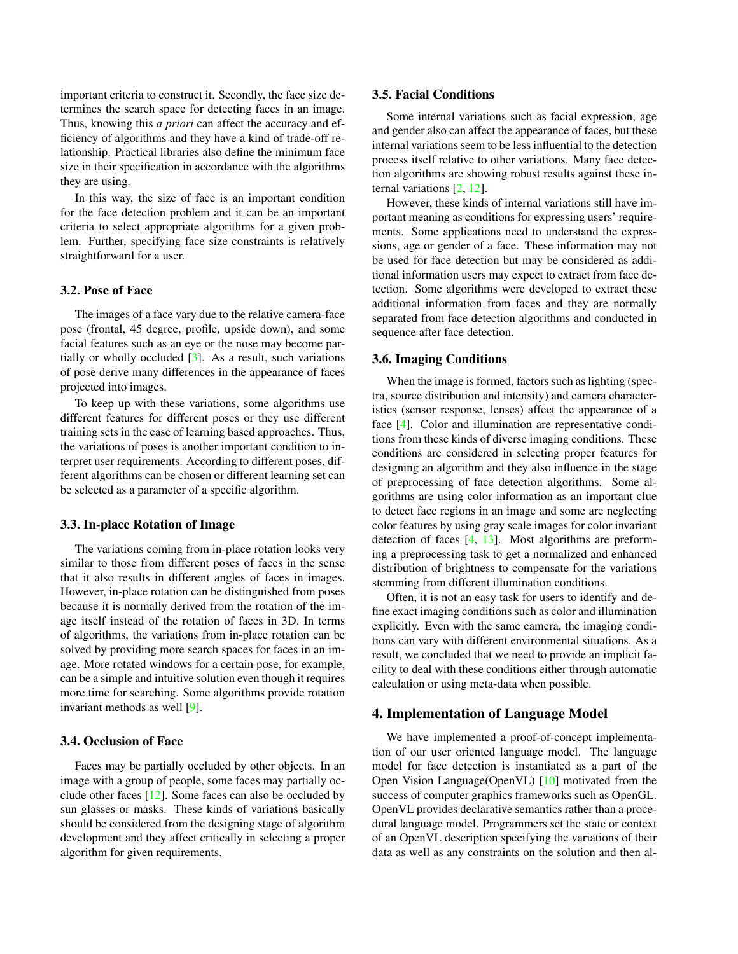<span id="page-2-1"></span>important criteria to construct it. Secondly, the face size determines the search space for detecting faces in an image. Thus, knowing this *a priori* can affect the accuracy and efficiency of algorithms and they have a kind of trade-off relationship. Practical libraries also define the minimum face size in their specification in accordance with the algorithms they are using.

In this way, the size of face is an important condition for the face detection problem and it can be an important criteria to select appropriate algorithms for a given problem. Further, specifying face size constraints is relatively straightforward for a user.

### 3.2. Pose of Face

The images of a face vary due to the relative camera-face pose (frontal, 45 degree, profile, upside down), and some facial features such as an eye or the nose may become partially or wholly occluded  $[3]$ . As a result, such variations of pose derive many differences in the appearance of faces projected into images.

To keep up with these variations, some algorithms use different features for different poses or they use different training sets in the case of learning based approaches. Thus, the variations of poses is another important condition to interpret user requirements. According to different poses, different algorithms can be chosen or different learning set can be selected as a parameter of a specific algorithm.

#### 3.3. In-place Rotation of Image

The variations coming from in-place rotation looks very similar to those from different poses of faces in the sense that it also results in different angles of faces in images. However, in-place rotation can be distinguished from poses because it is normally derived from the rotation of the image itself instead of the rotation of faces in 3D. In terms of algorithms, the variations from in-place rotation can be solved by providing more search spaces for faces in an image. More rotated windows for a certain pose, for example, can be a simple and intuitive solution even though it requires more time for searching. Some algorithms provide rotation invariant methods as well [\[9\]](#page-5-3).

## 3.4. Occlusion of Face

Faces may be partially occluded by other objects. In an image with a group of people, some faces may partially occlude other faces  $[12]$ . Some faces can also be occluded by sun glasses or masks. These kinds of variations basically should be considered from the designing stage of algorithm development and they affect critically in selecting a proper algorithm for given requirements.

### 3.5. Facial Conditions

Some internal variations such as facial expression, age and gender also can affect the appearance of faces, but these internal variations seem to be less influential to the detection process itself relative to other variations. Many face detection algorithms are showing robust results against these internal variations [\[2,](#page-5-11) [12\]](#page-5-10).

However, these kinds of internal variations still have important meaning as conditions for expressing users' requirements. Some applications need to understand the expressions, age or gender of a face. These information may not be used for face detection but may be considered as additional information users may expect to extract from face detection. Some algorithms were developed to extract these additional information from faces and they are normally separated from face detection algorithms and conducted in sequence after face detection.

#### 3.6. Imaging Conditions

When the image is formed, factors such as lighting (spectra, source distribution and intensity) and camera characteristics (sensor response, lenses) affect the appearance of a face [\[4\]](#page-5-12). Color and illumination are representative conditions from these kinds of diverse imaging conditions. These conditions are considered in selecting proper features for designing an algorithm and they also influence in the stage of preprocessing of face detection algorithms. Some algorithms are using color information as an important clue to detect face regions in an image and some are neglecting color features by using gray scale images for color invariant detection of faces  $[4, 13]$  $[4, 13]$  $[4, 13]$ . Most algorithms are preforming a preprocessing task to get a normalized and enhanced distribution of brightness to compensate for the variations stemming from different illumination conditions.

Often, it is not an easy task for users to identify and define exact imaging conditions such as color and illumination explicitly. Even with the same camera, the imaging conditions can vary with different environmental situations. As a result, we concluded that we need to provide an implicit facility to deal with these conditions either through automatic calculation or using meta-data when possible.

## <span id="page-2-0"></span>4. Implementation of Language Model

We have implemented a proof-of-concept implementation of our user oriented language model. The language model for face detection is instantiated as a part of the Open Vision Language(OpenVL) [\[10\]](#page-5-13) motivated from the success of computer graphics frameworks such as OpenGL. OpenVL provides declarative semantics rather than a procedural language model. Programmers set the state or context of an OpenVL description specifying the variations of their data as well as any constraints on the solution and then al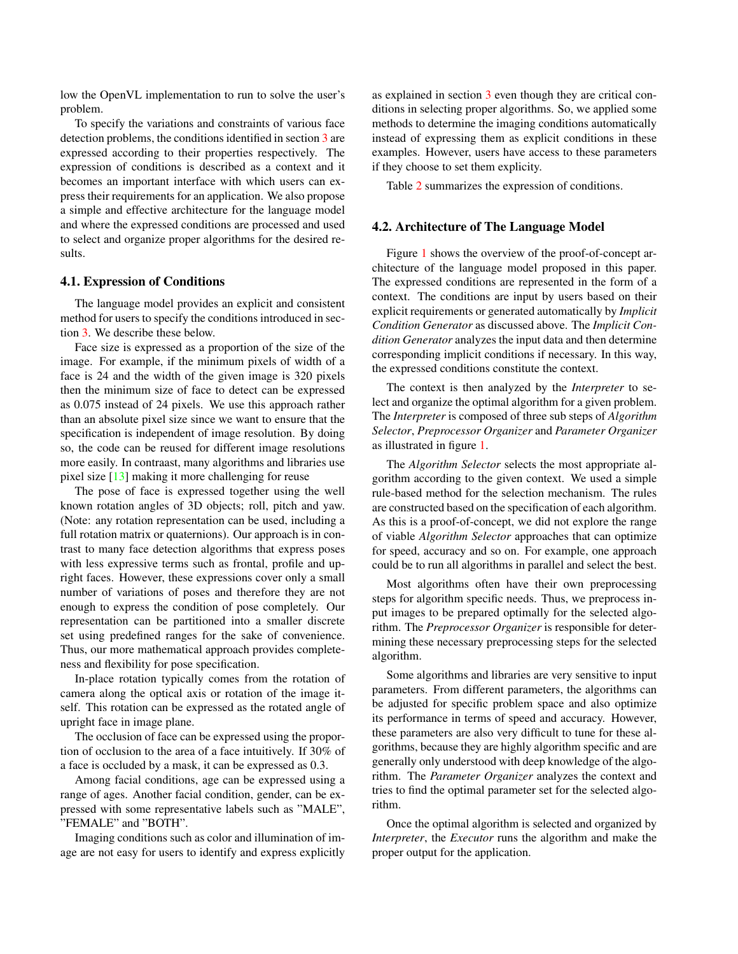<span id="page-3-0"></span>low the OpenVL implementation to run to solve the user's problem.

To specify the variations and constraints of various face detection problems, the conditions identified in section [3](#page-1-1) are expressed according to their properties respectively. The expression of conditions is described as a context and it becomes an important interface with which users can express their requirements for an application. We also propose a simple and effective architecture for the language model and where the expressed conditions are processed and used to select and organize proper algorithms for the desired results.

#### 4.1. Expression of Conditions

The language model provides an explicit and consistent method for users to specify the conditions introduced in section [3.](#page-1-1) We describe these below.

Face size is expressed as a proportion of the size of the image. For example, if the minimum pixels of width of a face is 24 and the width of the given image is 320 pixels then the minimum size of face to detect can be expressed as 0.075 instead of 24 pixels. We use this approach rather than an absolute pixel size since we want to ensure that the specification is independent of image resolution. By doing so, the code can be reused for different image resolutions more easily. In contraast, many algorithms and libraries use pixel size [\[13\]](#page-5-1) making it more challenging for reuse

The pose of face is expressed together using the well known rotation angles of 3D objects; roll, pitch and yaw. (Note: any rotation representation can be used, including a full rotation matrix or quaternions). Our approach is in contrast to many face detection algorithms that express poses with less expressive terms such as frontal, profile and upright faces. However, these expressions cover only a small number of variations of poses and therefore they are not enough to express the condition of pose completely. Our representation can be partitioned into a smaller discrete set using predefined ranges for the sake of convenience. Thus, our more mathematical approach provides completeness and flexibility for pose specification.

In-place rotation typically comes from the rotation of camera along the optical axis or rotation of the image itself. This rotation can be expressed as the rotated angle of upright face in image plane.

The occlusion of face can be expressed using the proportion of occlusion to the area of a face intuitively. If 30% of a face is occluded by a mask, it can be expressed as 0.3.

Among facial conditions, age can be expressed using a range of ages. Another facial condition, gender, can be expressed with some representative labels such as "MALE", "FEMALE" and "BOTH".

Imaging conditions such as color and illumination of image are not easy for users to identify and express explicitly as explained in section [3](#page-1-1) even though they are critical conditions in selecting proper algorithms. So, we applied some methods to determine the imaging conditions automatically instead of expressing them as explicit conditions in these examples. However, users have access to these parameters if they choose to set them explicity.

Table [2](#page-4-1) summarizes the expression of conditions.

#### 4.2. Architecture of The Language Model

Figure [1](#page-4-2) shows the overview of the proof-of-concept architecture of the language model proposed in this paper. The expressed conditions are represented in the form of a context. The conditions are input by users based on their explicit requirements or generated automatically by *Implicit Condition Generator* as discussed above. The *Implicit Condition Generator* analyzes the input data and then determine corresponding implicit conditions if necessary. In this way, the expressed conditions constitute the context.

The context is then analyzed by the *Interpreter* to select and organize the optimal algorithm for a given problem. The *Interpreter* is composed of three sub steps of *Algorithm Selector*, *Preprocessor Organizer* and *Parameter Organizer* as illustrated in figure [1.](#page-4-2)

The *Algorithm Selector* selects the most appropriate algorithm according to the given context. We used a simple rule-based method for the selection mechanism. The rules are constructed based on the specification of each algorithm. As this is a proof-of-concept, we did not explore the range of viable *Algorithm Selector* approaches that can optimize for speed, accuracy and so on. For example, one approach could be to run all algorithms in parallel and select the best.

Most algorithms often have their own preprocessing steps for algorithm specific needs. Thus, we preprocess input images to be prepared optimally for the selected algorithm. The *Preprocessor Organizer* is responsible for determining these necessary preprocessing steps for the selected algorithm.

Some algorithms and libraries are very sensitive to input parameters. From different parameters, the algorithms can be adjusted for specific problem space and also optimize its performance in terms of speed and accuracy. However, these parameters are also very difficult to tune for these algorithms, because they are highly algorithm specific and are generally only understood with deep knowledge of the algorithm. The *Parameter Organizer* analyzes the context and tries to find the optimal parameter set for the selected algorithm.

Once the optimal algorithm is selected and organized by *Interpreter*, the *Executor* runs the algorithm and make the proper output for the application.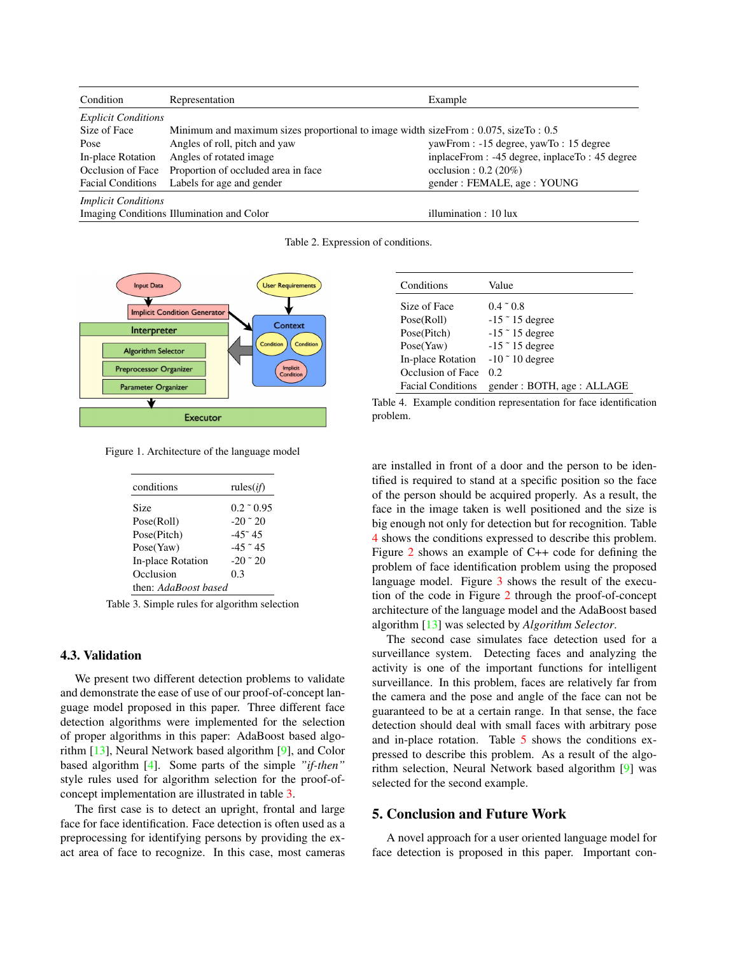<span id="page-4-5"></span>

| Condition                                                         | Representation                                                                            | Example                                         |
|-------------------------------------------------------------------|-------------------------------------------------------------------------------------------|-------------------------------------------------|
| <b>Explicit Conditions</b>                                        |                                                                                           |                                                 |
| Size of Face                                                      | Minimum and maximum sizes proportional to image width sizeFrom : $0.075$ , sizeTo : $0.5$ |                                                 |
| Pose                                                              | Angles of roll, pitch and yaw                                                             | yawFrom : -15 degree, yawTo : 15 degree         |
| In-place Rotation                                                 | Angles of rotated image.                                                                  | inplaceFrom : -45 degree, inplaceTo : 45 degree |
| Occlusion of Face                                                 | Proportion of occluded area in face                                                       | occlusion : $0.2$ (20%)                         |
| <b>Facial Conditions</b>                                          | Labels for age and gender                                                                 | gender: FEMALE, age: YOUNG                      |
| <b>Implicit Conditions</b>                                        |                                                                                           |                                                 |
| Imaging Conditions Illumination and Color<br>illumination: 10 lux |                                                                                           |                                                 |

<span id="page-4-1"></span>Table 2. Expression of conditions.



Figure 1. Architecture of the language model

<span id="page-4-2"></span>

| conditions           | rules $(i f)$      |  |
|----------------------|--------------------|--|
| Size                 | $0.2 \degree 0.95$ |  |
| Pose(Roll)           | $-20 \degree 20$   |  |
| Pose(Pitch)          | $-45^{\circ} 45$   |  |
| Pose(Yaw)            | $-45$ $\degree$ 45 |  |
| In-place Rotation    | $-20$ $\degree$ 20 |  |
| Occlusion            | 0.3                |  |
| then: AdaBoost based |                    |  |

<span id="page-4-3"></span>Table 3. Simple rules for algorithm selection

### 4.3. Validation

We present two different detection problems to validate and demonstrate the ease of use of our proof-of-concept language model proposed in this paper. Three different face detection algorithms were implemented for the selection of proper algorithms in this paper: AdaBoost based algorithm [\[13\]](#page-5-1), Neural Network based algorithm [\[9\]](#page-5-3), and Color based algorithm [\[4\]](#page-5-12). Some parts of the simple *"if-then"* style rules used for algorithm selection for the proof-ofconcept implementation are illustrated in table [3.](#page-4-3)

The first case is to detect an upright, frontal and large face for face identification. Face detection is often used as a preprocessing for identifying persons by providing the exact area of face to recognize. In this case, most cameras

| Conditions               | Value                     |
|--------------------------|---------------------------|
| Size of Face             | $0.4 \degree 0.8$         |
| Pose(Roll)               | $-15$ $\degree$ 15 degree |
| Pose(Pitch)              | $-15$ $\degree$ 15 degree |
| Pose(Yaw)                | $-15$ $\degree$ 15 degree |
| In-place Rotation        | $-10$ $\degree$ 10 degree |
| Occlusion of Face        | 02                        |
| <b>Facial Conditions</b> | gender: BOTH, age: ALLAGE |

<span id="page-4-4"></span>Table 4. Example condition representation for face identification problem.

are installed in front of a door and the person to be identified is required to stand at a specific position so the face of the person should be acquired properly. As a result, the face in the image taken is well positioned and the size is big enough not only for detection but for recognition. Table [4](#page-4-4) shows the conditions expressed to describe this problem. Figure [2](#page-5-14) shows an example of C++ code for defining the problem of face identification problem using the proposed language model. Figure [3](#page-5-15) shows the result of the execution of the code in Figure [2](#page-5-14) through the proof-of-concept architecture of the language model and the AdaBoost based algorithm [\[13\]](#page-5-1) was selected by *Algorithm Selector*.

The second case simulates face detection used for a surveillance system. Detecting faces and analyzing the activity is one of the important functions for intelligent surveillance. In this problem, faces are relatively far from the camera and the pose and angle of the face can not be guaranteed to be at a certain range. In that sense, the face detection should deal with small faces with arbitrary pose and in-place rotation. Table [5](#page-5-16) shows the conditions expressed to describe this problem. As a result of the algorithm selection, Neural Network based algorithm [\[9\]](#page-5-3) was selected for the second example.

# <span id="page-4-0"></span>5. Conclusion and Future Work

A novel approach for a user oriented language model for face detection is proposed in this paper. Important con-